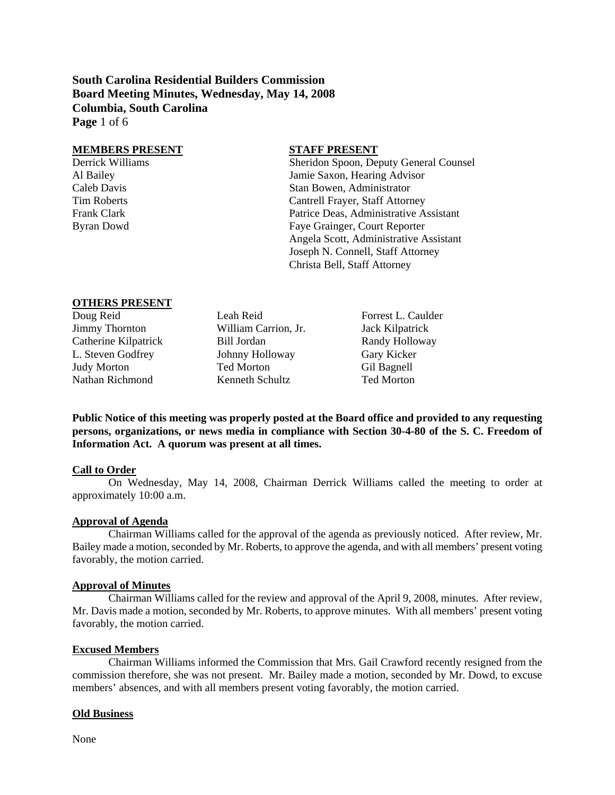**South Carolina Residential Builders Commission Board Meeting Minutes, Wednesday, May 14, 2008 Columbia, South Carolina Page** 1 of 6

#### **MEMBERS PRESENT STAFF PRESENT**

Derrick Williams Sheridon Spoon, Deputy General Counsel Al Bailey Jamie Saxon, Hearing Advisor Caleb Davis Stan Bowen, Administrator Tim Roberts Cantrell Frayer, Staff Attorney Frank Clark Patrice Deas, Administrative Assistant Byran Dowd Faye Grainger, Court Reporter Angela Scott, Administrative Assistant Joseph N. Connell, Staff Attorney Christa Bell, Staff Attorney

# **OTHERS PRESENT**<br>Doug Reid

Jimmy Thornton William Carrion, Jr. Jack Kilpatrick Catherine Kilpatrick Bill Jordan Randy Holloway L. Steven Godfrey Johnny Holloway Gary Kicker Judy Morton Ted Morton Gil Bagnell Nathan Richmond Kenneth Schultz Ted Morton

Leah Reid Forrest L. Caulder

**Public Notice of this meeting was properly posted at the Board office and provided to any requesting persons, organizations, or news media in compliance with Section 30-4-80 of the S. C. Freedom of Information Act. A quorum was present at all times.** 

#### **Call to Order**

On Wednesday, May 14, 2008, Chairman Derrick Williams called the meeting to order at approximately 10:00 a.m.

#### **Approval of Agenda**

Chairman Williams called for the approval of the agenda as previously noticed. After review, Mr. Bailey made a motion, seconded by Mr. Roberts, to approve the agenda, and with all members' present voting favorably, the motion carried.

#### **Approval of Minutes**

Chairman Williams called for the review and approval of the April 9, 2008, minutes. After review, Mr. Davis made a motion, seconded by Mr. Roberts, to approve minutes. With all members' present voting favorably, the motion carried.

#### **Excused Members**

Chairman Williams informed the Commission that Mrs. Gail Crawford recently resigned from the commission therefore, she was not present. Mr. Bailey made a motion, seconded by Mr. Dowd, to excuse members' absences, and with all members present voting favorably, the motion carried.

#### **Old Business**

None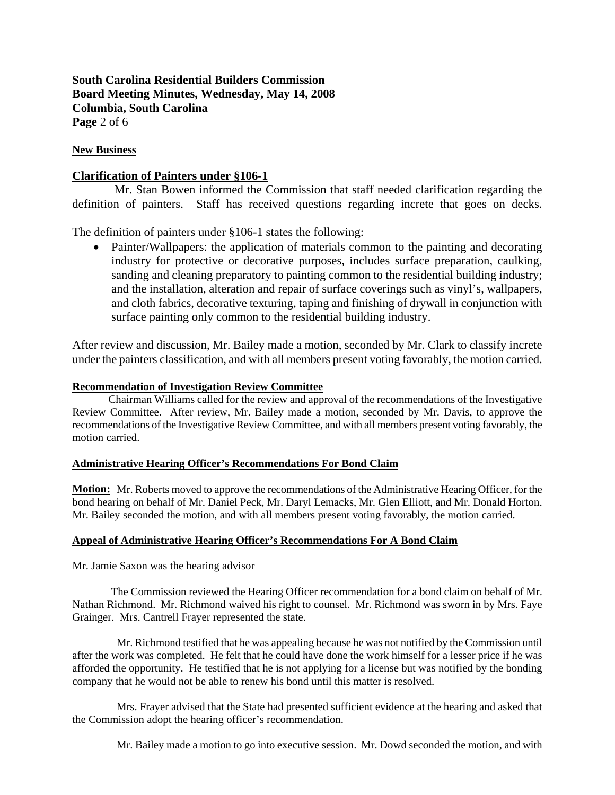# **South Carolina Residential Builders Commission Board Meeting Minutes, Wednesday, May 14, 2008 Columbia, South Carolina Page** 2 of 6

#### **New Business**

### **Clarification of Painters under §106-1**

 Mr. Stan Bowen informed the Commission that staff needed clarification regarding the definition of painters. Staff has received questions regarding increte that goes on decks.

The definition of painters under §106-1 states the following:

• Painter/Wallpapers: the application of materials common to the painting and decorating industry for protective or decorative purposes, includes surface preparation, caulking, sanding and cleaning preparatory to painting common to the residential building industry; and the installation, alteration and repair of surface coverings such as vinyl's, wallpapers, and cloth fabrics, decorative texturing, taping and finishing of drywall in conjunction with surface painting only common to the residential building industry.

After review and discussion, Mr. Bailey made a motion, seconded by Mr. Clark to classify increte under the painters classification, and with all members present voting favorably, the motion carried.

#### **Recommendation of Investigation Review Committee**

Chairman Williams called for the review and approval of the recommendations of the Investigative Review Committee. After review, Mr. Bailey made a motion, seconded by Mr. Davis, to approve the recommendations of the Investigative Review Committee, and with all members present voting favorably, the motion carried.

#### **Administrative Hearing Officer's Recommendations For Bond Claim**

**Motion:** Mr. Roberts moved to approve the recommendations of the Administrative Hearing Officer, for the bond hearing on behalf of Mr. Daniel Peck, Mr. Daryl Lemacks, Mr. Glen Elliott, and Mr. Donald Horton. Mr. Bailey seconded the motion, and with all members present voting favorably, the motion carried.

#### **Appeal of Administrative Hearing Officer's Recommendations For A Bond Claim**

Mr. Jamie Saxon was the hearing advisor

 The Commission reviewed the Hearing Officer recommendation for a bond claim on behalf of Mr. Nathan Richmond. Mr. Richmond waived his right to counsel. Mr. Richmond was sworn in by Mrs. Faye Grainger. Mrs. Cantrell Frayer represented the state.

 Mr. Richmond testified that he was appealing because he was not notified by the Commission until after the work was completed. He felt that he could have done the work himself for a lesser price if he was afforded the opportunity. He testified that he is not applying for a license but was notified by the bonding company that he would not be able to renew his bond until this matter is resolved.

 Mrs. Frayer advised that the State had presented sufficient evidence at the hearing and asked that the Commission adopt the hearing officer's recommendation.

Mr. Bailey made a motion to go into executive session. Mr. Dowd seconded the motion, and with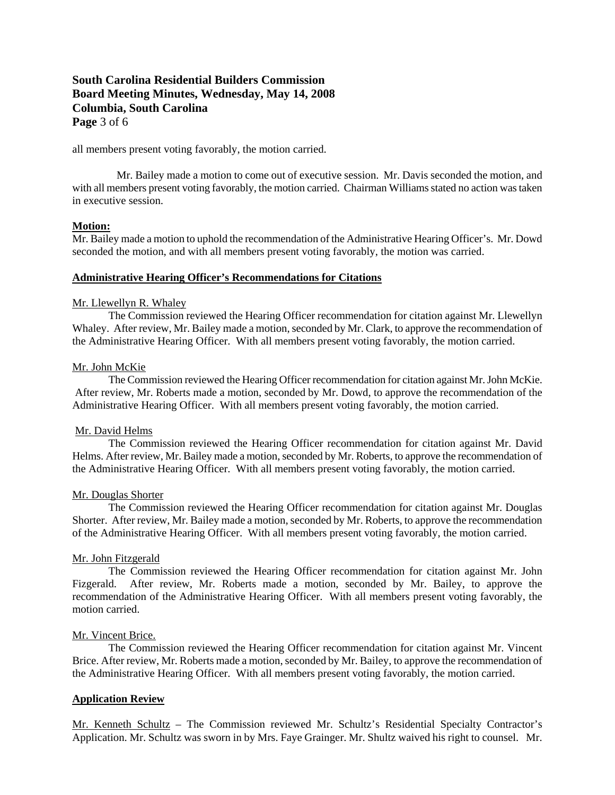# **South Carolina Residential Builders Commission Board Meeting Minutes, Wednesday, May 14, 2008 Columbia, South Carolina Page** 3 of 6

all members present voting favorably, the motion carried.

 Mr. Bailey made a motion to come out of executive session. Mr. Davis seconded the motion, and with all members present voting favorably, the motion carried. Chairman Williams stated no action was taken in executive session.

#### **Motion:**

Mr. Bailey made a motion to uphold the recommendation of the Administrative Hearing Officer's. Mr. Dowd seconded the motion, and with all members present voting favorably, the motion was carried.

#### **Administrative Hearing Officer's Recommendations for Citations**

#### Mr. Llewellyn R. Whaley

The Commission reviewed the Hearing Officer recommendation for citation against Mr. Llewellyn Whaley. After review, Mr. Bailey made a motion, seconded by Mr. Clark, to approve the recommendation of the Administrative Hearing Officer. With all members present voting favorably, the motion carried.

#### Mr. John McKie

The Commission reviewed the Hearing Officer recommendation for citation against Mr. John McKie. After review, Mr. Roberts made a motion, seconded by Mr. Dowd, to approve the recommendation of the Administrative Hearing Officer. With all members present voting favorably, the motion carried.

#### Mr. David Helms

The Commission reviewed the Hearing Officer recommendation for citation against Mr. David Helms. After review, Mr. Bailey made a motion, seconded by Mr. Roberts, to approve the recommendation of the Administrative Hearing Officer. With all members present voting favorably, the motion carried.

#### Mr. Douglas Shorter

The Commission reviewed the Hearing Officer recommendation for citation against Mr. Douglas Shorter. After review, Mr. Bailey made a motion, seconded by Mr. Roberts, to approve the recommendation of the Administrative Hearing Officer. With all members present voting favorably, the motion carried.

#### Mr. John Fitzgerald

The Commission reviewed the Hearing Officer recommendation for citation against Mr. John Fizgerald. After review, Mr. Roberts made a motion, seconded by Mr. Bailey, to approve the recommendation of the Administrative Hearing Officer. With all members present voting favorably, the motion carried.

#### Mr. Vincent Brice.

The Commission reviewed the Hearing Officer recommendation for citation against Mr. Vincent Brice. After review, Mr. Roberts made a motion, seconded by Mr. Bailey, to approve the recommendation of the Administrative Hearing Officer. With all members present voting favorably, the motion carried.

#### **Application Review**

Mr. Kenneth Schultz – The Commission reviewed Mr. Schultz's Residential Specialty Contractor's Application. Mr. Schultz was sworn in by Mrs. Faye Grainger. Mr. Shultz waived his right to counsel. Mr.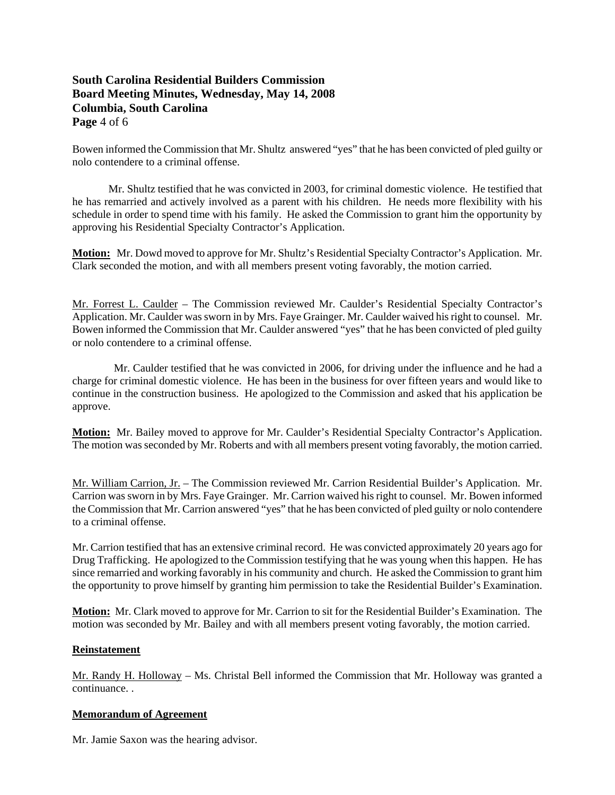# **South Carolina Residential Builders Commission Board Meeting Minutes, Wednesday, May 14, 2008 Columbia, South Carolina Page** 4 of 6

Bowen informed the Commission that Mr. Shultz answered "yes" that he has been convicted of pled guilty or nolo contendere to a criminal offense.

 Mr. Shultz testified that he was convicted in 2003, for criminal domestic violence. He testified that he has remarried and actively involved as a parent with his children. He needs more flexibility with his schedule in order to spend time with his family. He asked the Commission to grant him the opportunity by approving his Residential Specialty Contractor's Application.

**Motion:** Mr. Dowd moved to approve for Mr. Shultz's Residential Specialty Contractor's Application. Mr. Clark seconded the motion, and with all members present voting favorably, the motion carried.

Mr. Forrest L. Caulder – The Commission reviewed Mr. Caulder's Residential Specialty Contractor's Application. Mr. Caulder was sworn in by Mrs. Faye Grainger. Mr. Caulder waived his right to counsel. Mr. Bowen informed the Commission that Mr. Caulder answered "yes" that he has been convicted of pled guilty or nolo contendere to a criminal offense.

 Mr. Caulder testified that he was convicted in 2006, for driving under the influence and he had a charge for criminal domestic violence. He has been in the business for over fifteen years and would like to continue in the construction business. He apologized to the Commission and asked that his application be approve.

**Motion:** Mr. Bailey moved to approve for Mr. Caulder's Residential Specialty Contractor's Application. The motion was seconded by Mr. Roberts and with all members present voting favorably, the motion carried.

Mr. William Carrion, Jr. – The Commission reviewed Mr. Carrion Residential Builder's Application. Mr. Carrion was sworn in by Mrs. Faye Grainger. Mr. Carrion waived his right to counsel. Mr. Bowen informed the Commission that Mr. Carrion answered "yes" that he has been convicted of pled guilty or nolo contendere to a criminal offense.

Mr. Carrion testified that has an extensive criminal record. He was convicted approximately 20 years ago for Drug Trafficking. He apologized to the Commission testifying that he was young when this happen. He has since remarried and working favorably in his community and church. He asked the Commission to grant him the opportunity to prove himself by granting him permission to take the Residential Builder's Examination.

**Motion:** Mr. Clark moved to approve for Mr. Carrion to sit for the Residential Builder's Examination. The motion was seconded by Mr. Bailey and with all members present voting favorably, the motion carried.

#### **Reinstatement**

Mr. Randy H. Holloway – Ms. Christal Bell informed the Commission that Mr. Holloway was granted a continuance. .

#### **Memorandum of Agreement**

Mr. Jamie Saxon was the hearing advisor.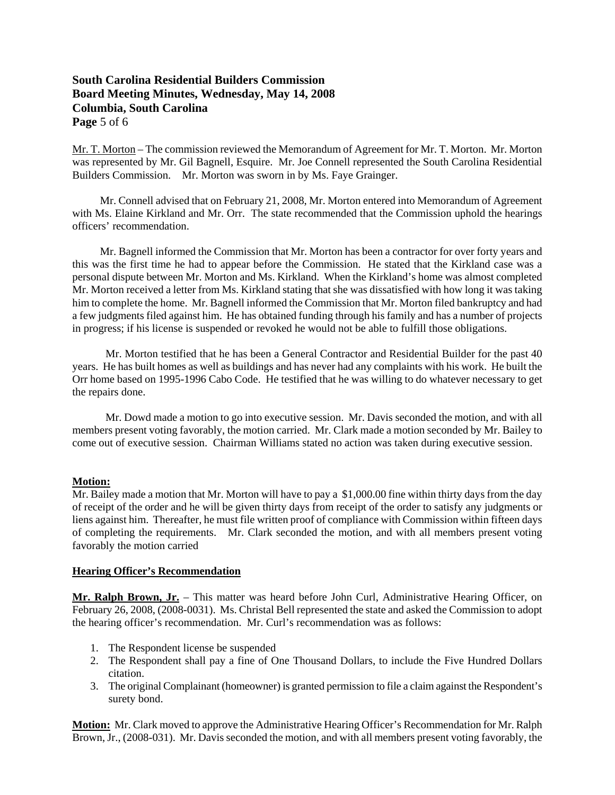# **South Carolina Residential Builders Commission Board Meeting Minutes, Wednesday, May 14, 2008 Columbia, South Carolina Page** 5 of 6

Mr. T. Morton – The commission reviewed the Memorandum of Agreement for Mr. T. Morton. Mr. Morton was represented by Mr. Gil Bagnell, Esquire. Mr. Joe Connell represented the South Carolina Residential Builders Commission. Mr. Morton was sworn in by Ms. Faye Grainger.

 Mr. Connell advised that on February 21, 2008, Mr. Morton entered into Memorandum of Agreement with Ms. Elaine Kirkland and Mr. Orr. The state recommended that the Commission uphold the hearings officers' recommendation.

 Mr. Bagnell informed the Commission that Mr. Morton has been a contractor for over forty years and this was the first time he had to appear before the Commission. He stated that the Kirkland case was a personal dispute between Mr. Morton and Ms. Kirkland. When the Kirkland's home was almost completed Mr. Morton received a letter from Ms. Kirkland stating that she was dissatisfied with how long it was taking him to complete the home. Mr. Bagnell informed the Commission that Mr. Morton filed bankruptcy and had a few judgments filed against him. He has obtained funding through his family and has a number of projects in progress; if his license is suspended or revoked he would not be able to fulfill those obligations.

 Mr. Morton testified that he has been a General Contractor and Residential Builder for the past 40 years. He has built homes as well as buildings and has never had any complaints with his work. He built the Orr home based on 1995-1996 Cabo Code. He testified that he was willing to do whatever necessary to get the repairs done.

 Mr. Dowd made a motion to go into executive session. Mr. Davis seconded the motion, and with all members present voting favorably, the motion carried. Mr. Clark made a motion seconded by Mr. Bailey to come out of executive session. Chairman Williams stated no action was taken during executive session.

#### **Motion:**

Mr. Bailey made a motion that Mr. Morton will have to pay a \$1,000.00 fine within thirty days from the day of receipt of the order and he will be given thirty days from receipt of the order to satisfy any judgments or liens against him. Thereafter, he must file written proof of compliance with Commission within fifteen days of completing the requirements. Mr. Clark seconded the motion, and with all members present voting favorably the motion carried

#### **Hearing Officer's Recommendation**

**Mr. Ralph Brown, Jr.** – This matter was heard before John Curl, Administrative Hearing Officer, on February 26, 2008, (2008-0031). Ms. Christal Bell represented the state and asked the Commission to adopt the hearing officer's recommendation. Mr. Curl's recommendation was as follows:

- 1. The Respondent license be suspended
- 2. The Respondent shall pay a fine of One Thousand Dollars, to include the Five Hundred Dollars citation.
- 3. The original Complainant (homeowner) is granted permission to file a claim against the Respondent's surety bond.

**Motion:** Mr. Clark moved to approve the Administrative Hearing Officer's Recommendation for Mr. Ralph Brown, Jr., (2008-031). Mr. Davis seconded the motion, and with all members present voting favorably, the